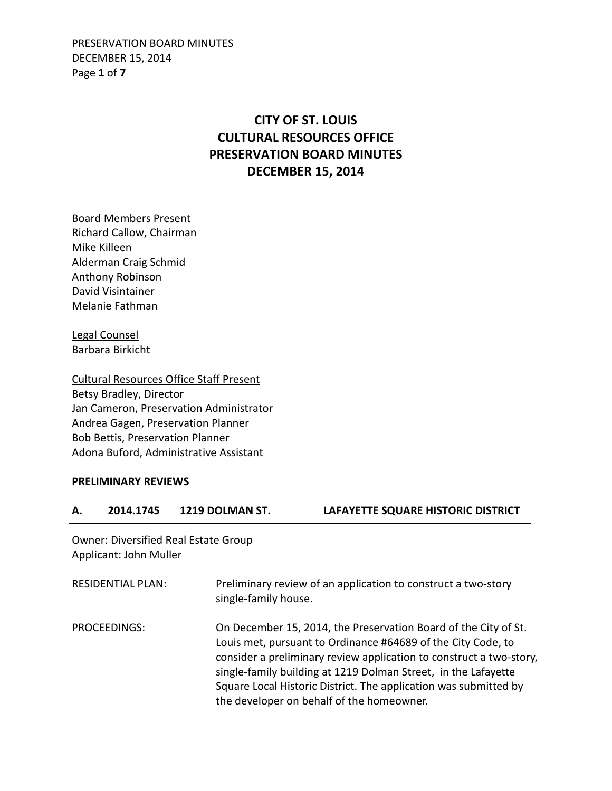PRESERVATION BOARD MINUTES DECEMBER 15, 2014 Page **1** of **7**

# **CITY OF ST. LOUIS CULTURAL RESOURCES OFFICE PRESERVATION BOARD MINUTES DECEMBER 15, 2014**

Board Members Present Richard Callow, Chairman Mike Killeen Alderman Craig Schmid Anthony Robinson David Visintainer Melanie Fathman

Legal Counsel Barbara Birkicht

Cultural Resources Office Staff Present Betsy Bradley, Director Jan Cameron, Preservation Administrator Andrea Gagen, Preservation Planner Bob Bettis, Preservation Planner Adona Buford, Administrative Assistant

#### **PRELIMINARY REVIEWS**

**A. 2014.1745 1219 DOLMAN ST. LAFAYETTE SQUARE HISTORIC DISTRICT** 

Owner: Diversified Real Estate Group Applicant: John Muller

| <b>RESIDENTIAL PLAN:</b> | Preliminary review of an application to construct a two-story<br>single-family house.                                                                                                                                                                                                                                                                                                     |
|--------------------------|-------------------------------------------------------------------------------------------------------------------------------------------------------------------------------------------------------------------------------------------------------------------------------------------------------------------------------------------------------------------------------------------|
| PROCEEDINGS:             | On December 15, 2014, the Preservation Board of the City of St.<br>Louis met, pursuant to Ordinance #64689 of the City Code, to<br>consider a preliminary review application to construct a two-story,<br>single-family building at 1219 Dolman Street, in the Lafayette<br>Square Local Historic District. The application was submitted by<br>the developer on behalf of the homeowner. |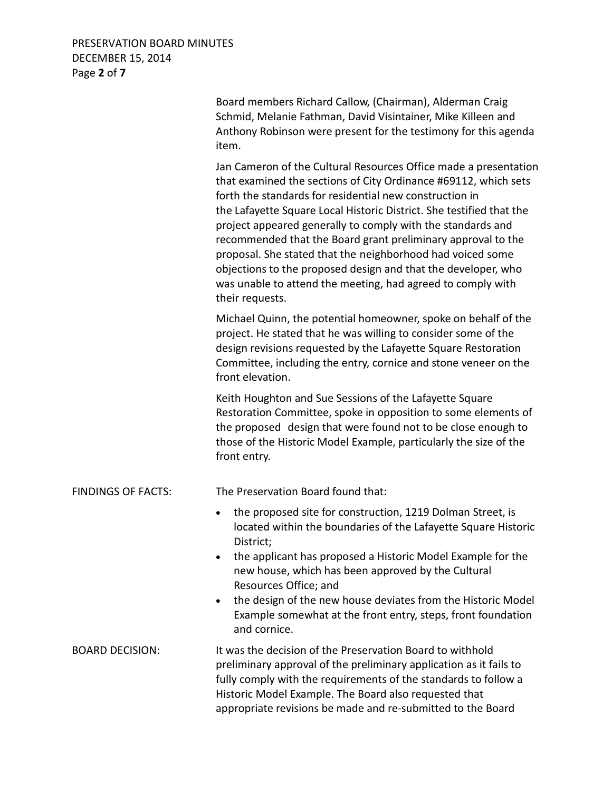# PRESERVATION BOARD MINUTES DECEMBER 15, 2014 Page **2** of **7**

|                           | Board members Richard Callow, (Chairman), Alderman Craig<br>Schmid, Melanie Fathman, David Visintainer, Mike Killeen and<br>Anthony Robinson were present for the testimony for this agenda<br>item.                                                                                                                                                                                                                                                                                                                                                                                                                   |
|---------------------------|------------------------------------------------------------------------------------------------------------------------------------------------------------------------------------------------------------------------------------------------------------------------------------------------------------------------------------------------------------------------------------------------------------------------------------------------------------------------------------------------------------------------------------------------------------------------------------------------------------------------|
|                           | Jan Cameron of the Cultural Resources Office made a presentation<br>that examined the sections of City Ordinance #69112, which sets<br>forth the standards for residential new construction in<br>the Lafayette Square Local Historic District. She testified that the<br>project appeared generally to comply with the standards and<br>recommended that the Board grant preliminary approval to the<br>proposal. She stated that the neighborhood had voiced some<br>objections to the proposed design and that the developer, who<br>was unable to attend the meeting, had agreed to comply with<br>their requests. |
|                           | Michael Quinn, the potential homeowner, spoke on behalf of the<br>project. He stated that he was willing to consider some of the<br>design revisions requested by the Lafayette Square Restoration<br>Committee, including the entry, cornice and stone veneer on the<br>front elevation.                                                                                                                                                                                                                                                                                                                              |
|                           | Keith Houghton and Sue Sessions of the Lafayette Square<br>Restoration Committee, spoke in opposition to some elements of<br>the proposed design that were found not to be close enough to<br>those of the Historic Model Example, particularly the size of the<br>front entry.                                                                                                                                                                                                                                                                                                                                        |
| <b>FINDINGS OF FACTS:</b> | The Preservation Board found that:                                                                                                                                                                                                                                                                                                                                                                                                                                                                                                                                                                                     |
|                           | the proposed site for construction, 1219 Dolman Street, is<br>located within the boundaries of the Lafayette Square Historic<br>District;<br>the applicant has proposed a Historic Model Example for the<br>new house, which has been approved by the Cultural                                                                                                                                                                                                                                                                                                                                                         |
|                           | Resources Office; and<br>the design of the new house deviates from the Historic Model<br>$\bullet$<br>Example somewhat at the front entry, steps, front foundation<br>and cornice.                                                                                                                                                                                                                                                                                                                                                                                                                                     |
| <b>BOARD DECISION:</b>    | It was the decision of the Preservation Board to withhold<br>preliminary approval of the preliminary application as it fails to<br>fully comply with the requirements of the standards to follow a<br>Historic Model Example. The Board also requested that<br>appropriate revisions be made and re-submitted to the Board                                                                                                                                                                                                                                                                                             |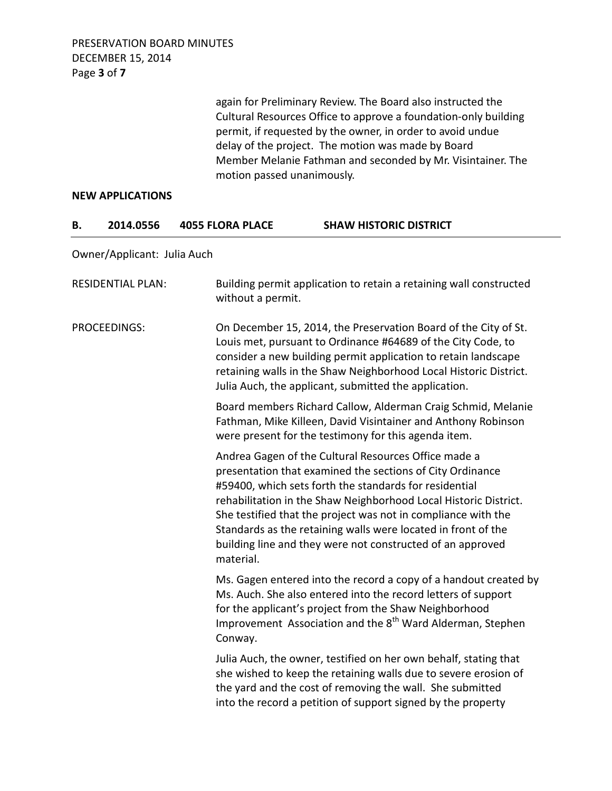PRESERVATION BOARD MINUTES DECEMBER 15, 2014 Page **3** of **7**

> again for Preliminary Review. The Board also instructed the Cultural Resources Office to approve a foundation-only building permit, if requested by the owner, in order to avoid undue delay of the project. The motion was made by Board Member Melanie Fathman and seconded by Mr. Visintainer. The motion passed unanimously.

#### **NEW APPLICATIONS**

#### **B. 2014.0556 4055 FLORA PLACE SHAW HISTORIC DISTRICT**

Owner/Applicant: Julia Auch

| <b>RESIDENTIAL PLAN:</b> | Building permit application to retain a retaining wall constructed<br>without a permit.                                                                                                                                                                                                                                                                                                                                                                      |
|--------------------------|--------------------------------------------------------------------------------------------------------------------------------------------------------------------------------------------------------------------------------------------------------------------------------------------------------------------------------------------------------------------------------------------------------------------------------------------------------------|
| PROCEEDINGS:             | On December 15, 2014, the Preservation Board of the City of St.<br>Louis met, pursuant to Ordinance #64689 of the City Code, to<br>consider a new building permit application to retain landscape<br>retaining walls in the Shaw Neighborhood Local Historic District.<br>Julia Auch, the applicant, submitted the application.                                                                                                                              |
|                          | Board members Richard Callow, Alderman Craig Schmid, Melanie<br>Fathman, Mike Killeen, David Visintainer and Anthony Robinson<br>were present for the testimony for this agenda item.                                                                                                                                                                                                                                                                        |
|                          | Andrea Gagen of the Cultural Resources Office made a<br>presentation that examined the sections of City Ordinance<br>#59400, which sets forth the standards for residential<br>rehabilitation in the Shaw Neighborhood Local Historic District.<br>She testified that the project was not in compliance with the<br>Standards as the retaining walls were located in front of the<br>building line and they were not constructed of an approved<br>material. |
|                          | Ms. Gagen entered into the record a copy of a handout created by<br>Ms. Auch. She also entered into the record letters of support<br>for the applicant's project from the Shaw Neighborhood<br>Improvement Association and the 8 <sup>th</sup> Ward Alderman, Stephen<br>Conway.                                                                                                                                                                             |
|                          | Julia Auch, the owner, testified on her own behalf, stating that<br>she wished to keep the retaining walls due to severe erosion of<br>the yard and the cost of removing the wall. She submitted<br>into the record a petition of support signed by the property                                                                                                                                                                                             |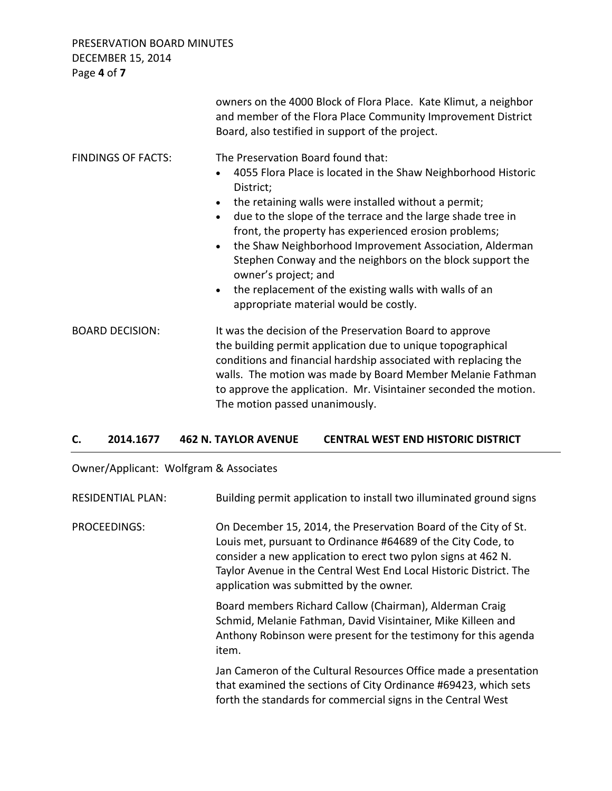PRESERVATION BOARD MINUTES DECEMBER 15, 2014

|                           | owners on the 4000 Block of Flora Place. Kate Klimut, a neighbor<br>and member of the Flora Place Community Improvement District<br>Board, also testified in support of the project.                                                                                                                                                                                                                                                                                                                                                                                                                                 |
|---------------------------|----------------------------------------------------------------------------------------------------------------------------------------------------------------------------------------------------------------------------------------------------------------------------------------------------------------------------------------------------------------------------------------------------------------------------------------------------------------------------------------------------------------------------------------------------------------------------------------------------------------------|
| <b>FINDINGS OF FACTS:</b> | The Preservation Board found that:<br>4055 Flora Place is located in the Shaw Neighborhood Historic<br>$\bullet$<br>District;<br>the retaining walls were installed without a permit;<br>$\bullet$<br>due to the slope of the terrace and the large shade tree in<br>$\bullet$<br>front, the property has experienced erosion problems;<br>the Shaw Neighborhood Improvement Association, Alderman<br>$\bullet$<br>Stephen Conway and the neighbors on the block support the<br>owner's project; and<br>the replacement of the existing walls with walls of an<br>$\bullet$<br>appropriate material would be costly. |
| <b>BOARD DECISION:</b>    | It was the decision of the Preservation Board to approve<br>the building permit application due to unique topographical<br>conditions and financial hardship associated with replacing the<br>walls. The motion was made by Board Member Melanie Fathman<br>to approve the application. Mr. Visintainer seconded the motion.<br>The motion passed unanimously.                                                                                                                                                                                                                                                       |

#### **C. 2014.1677 462 N. TAYLOR AVENUE CENTRAL WEST END HISTORIC DISTRICT**

Owner/Applicant: Wolfgram & Associates

| <b>RESIDENTIAL PLAN:</b> | Building permit application to install two illuminated ground signs                                                                                                                                                                                                                                               |
|--------------------------|-------------------------------------------------------------------------------------------------------------------------------------------------------------------------------------------------------------------------------------------------------------------------------------------------------------------|
| <b>PROCEEDINGS:</b>      | On December 15, 2014, the Preservation Board of the City of St.<br>Louis met, pursuant to Ordinance #64689 of the City Code, to<br>consider a new application to erect two pylon signs at 462 N.<br>Taylor Avenue in the Central West End Local Historic District. The<br>application was submitted by the owner. |
|                          | Board members Richard Callow (Chairman), Alderman Craig<br>Schmid, Melanie Fathman, David Visintainer, Mike Killeen and<br>Anthony Robinson were present for the testimony for this agenda<br>item.                                                                                                               |
|                          | Jan Cameron of the Cultural Resources Office made a presentation<br>that examined the sections of City Ordinance #69423, which sets<br>forth the standards for commercial signs in the Central West                                                                                                               |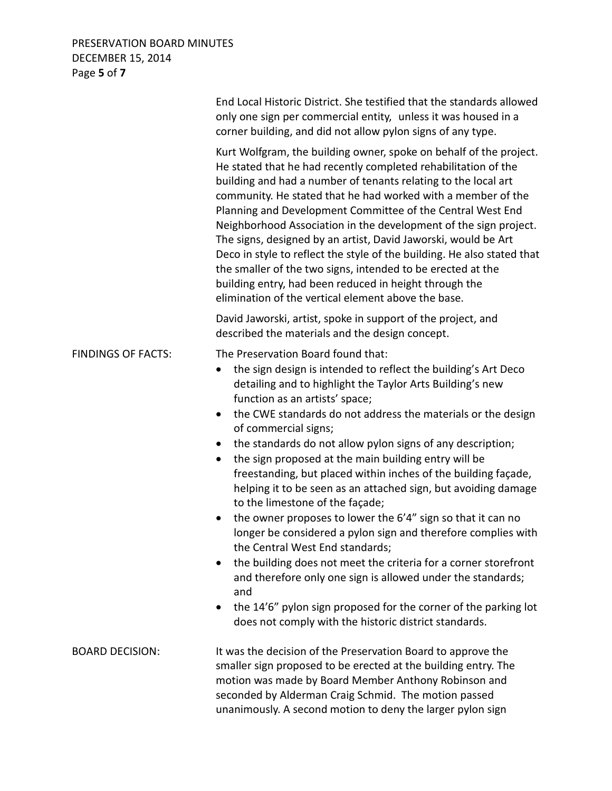## PRESERVATION BOARD MINUTES DECEMBER 15, 2014 Page **5** of **7**

|                           | End Local Historic District. She testified that the standards allowed<br>only one sign per commercial entity, unless it was housed in a<br>corner building, and did not allow pylon signs of any type.                                                                                                                                                                                                                                                                                                                                                                                                                                                                                                                                                                                                                                                                                                                                                                                                                                                                                                 |
|---------------------------|--------------------------------------------------------------------------------------------------------------------------------------------------------------------------------------------------------------------------------------------------------------------------------------------------------------------------------------------------------------------------------------------------------------------------------------------------------------------------------------------------------------------------------------------------------------------------------------------------------------------------------------------------------------------------------------------------------------------------------------------------------------------------------------------------------------------------------------------------------------------------------------------------------------------------------------------------------------------------------------------------------------------------------------------------------------------------------------------------------|
|                           | Kurt Wolfgram, the building owner, spoke on behalf of the project.<br>He stated that he had recently completed rehabilitation of the<br>building and had a number of tenants relating to the local art<br>community. He stated that he had worked with a member of the<br>Planning and Development Committee of the Central West End<br>Neighborhood Association in the development of the sign project.<br>The signs, designed by an artist, David Jaworski, would be Art<br>Deco in style to reflect the style of the building. He also stated that<br>the smaller of the two signs, intended to be erected at the<br>building entry, had been reduced in height through the<br>elimination of the vertical element above the base.                                                                                                                                                                                                                                                                                                                                                                  |
|                           | David Jaworski, artist, spoke in support of the project, and<br>described the materials and the design concept.                                                                                                                                                                                                                                                                                                                                                                                                                                                                                                                                                                                                                                                                                                                                                                                                                                                                                                                                                                                        |
| <b>FINDINGS OF FACTS:</b> | The Preservation Board found that:<br>the sign design is intended to reflect the building's Art Deco<br>$\bullet$<br>detailing and to highlight the Taylor Arts Building's new<br>function as an artists' space;<br>the CWE standards do not address the materials or the design<br>$\bullet$<br>of commercial signs;<br>the standards do not allow pylon signs of any description;<br>$\bullet$<br>the sign proposed at the main building entry will be<br>$\bullet$<br>freestanding, but placed within inches of the building façade,<br>helping it to be seen as an attached sign, but avoiding damage<br>to the limestone of the façade;<br>the owner proposes to lower the 6'4" sign so that it can no<br>longer be considered a pylon sign and therefore complies with<br>the Central West End standards;<br>the building does not meet the criteria for a corner storefront<br>٠<br>and therefore only one sign is allowed under the standards;<br>and<br>the 14'6" pylon sign proposed for the corner of the parking lot<br>$\bullet$<br>does not comply with the historic district standards. |
| <b>BOARD DECISION:</b>    | It was the decision of the Preservation Board to approve the<br>smaller sign proposed to be erected at the building entry. The<br>motion was made by Board Member Anthony Robinson and<br>seconded by Alderman Craig Schmid. The motion passed<br>unanimously. A second motion to deny the larger pylon sign                                                                                                                                                                                                                                                                                                                                                                                                                                                                                                                                                                                                                                                                                                                                                                                           |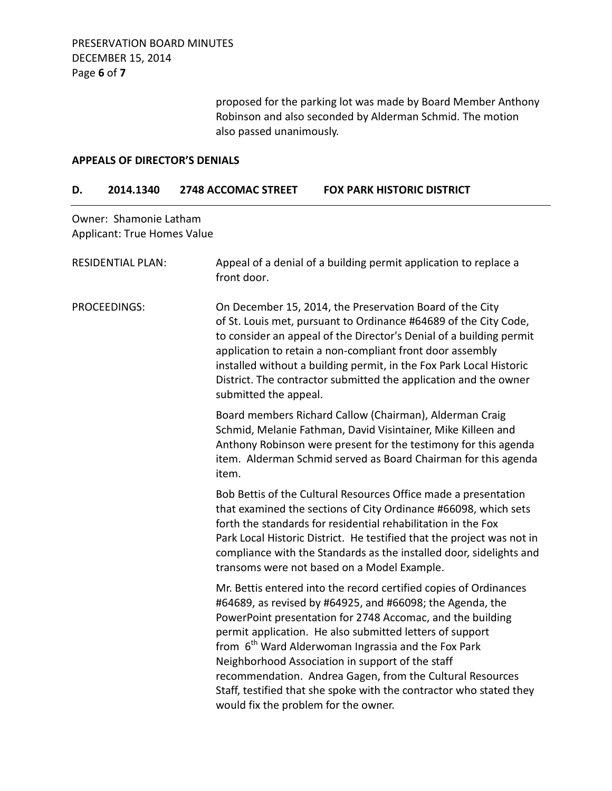proposed for the parking lot was made by Board Member Anthony Robinson and also seconded by Alderman Schmid. The motion also passed unanimously.

#### **APPEALS OF DIRECTOR'S DENIALS**

#### **D. 2014.1340 2748 ACCOMAC STREET FOX PARK HISTORIC DISTRICT**

Owner: Shamonie Latham Applicant: True Homes Value

| <b>RESIDENTIAL PLAN:</b> | Appeal of a denial of a building permit application to replace a<br>front door.                                                                                                                                                                                                                                                                                                                                                                                                                                                                             |
|--------------------------|-------------------------------------------------------------------------------------------------------------------------------------------------------------------------------------------------------------------------------------------------------------------------------------------------------------------------------------------------------------------------------------------------------------------------------------------------------------------------------------------------------------------------------------------------------------|
| PROCEEDINGS:             | On December 15, 2014, the Preservation Board of the City<br>of St. Louis met, pursuant to Ordinance #64689 of the City Code,<br>to consider an appeal of the Director's Denial of a building permit<br>application to retain a non-compliant front door assembly<br>installed without a building permit, in the Fox Park Local Historic<br>District. The contractor submitted the application and the owner<br>submitted the appeal.                                                                                                                        |
|                          | Board members Richard Callow (Chairman), Alderman Craig<br>Schmid, Melanie Fathman, David Visintainer, Mike Killeen and<br>Anthony Robinson were present for the testimony for this agenda<br>item. Alderman Schmid served as Board Chairman for this agenda<br>item.                                                                                                                                                                                                                                                                                       |
|                          | Bob Bettis of the Cultural Resources Office made a presentation<br>that examined the sections of City Ordinance #66098, which sets<br>forth the standards for residential rehabilitation in the Fox<br>Park Local Historic District. He testified that the project was not in<br>compliance with the Standards as the installed door, sidelights and<br>transoms were not based on a Model Example.                                                                                                                                                         |
|                          | Mr. Bettis entered into the record certified copies of Ordinances<br>#64689, as revised by #64925, and #66098; the Agenda, the<br>PowerPoint presentation for 2748 Accomac, and the building<br>permit application. He also submitted letters of support<br>from 6 <sup>th</sup> Ward Alderwoman Ingrassia and the Fox Park<br>Neighborhood Association in support of the staff<br>recommendation. Andrea Gagen, from the Cultural Resources<br>Staff, testified that she spoke with the contractor who stated they<br>would fix the problem for the owner. |